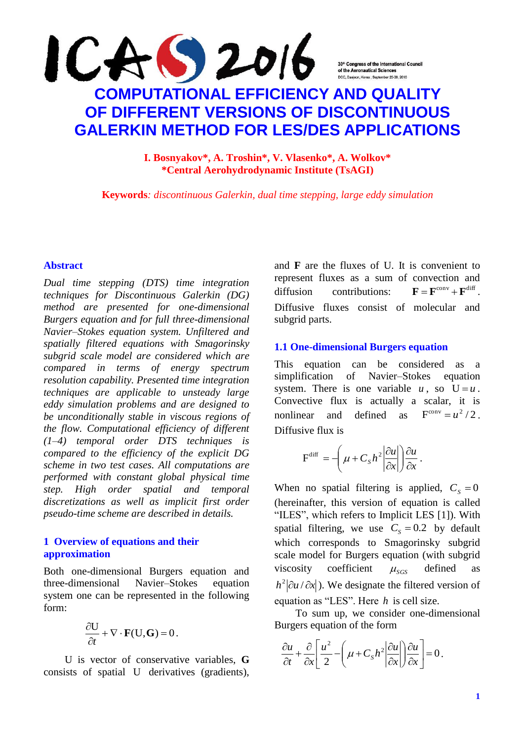**I. Bosnyakov\*, A. Troshin\*, V. Vlasenko\*, A. Wolkov\* \*Central Aerohydrodynamic Institute (TsAGI)**

**Keywords***: discontinuous Galerkin, dual time stepping, large eddy simulation*

### **Abstract**

*Dual time stepping (DTS) time integration techniques for Discontinuous Galerkin (DG) method are presented for one-dimensional Burgers equation and for full three-dimensional Navier–Stokes equation system. Unfiltered and spatially filtered equations with Smagorinsky subgrid scale model are considered which are compared in terms of energy spectrum resolution capability. Presented time integration techniques are applicable to unsteady large eddy simulation problems and are designed to be unconditionally stable in viscous regions of the flow. Computational efficiency of different (1–4) temporal order DTS techniques is compared to the efficiency of the explicit DG scheme in two test cases. All computations are performed with constant global physical time step. High order spatial and temporal discretizations as well as implicit first order pseudo-time scheme are described in details.*

### **1 Overview of equations and their approximation**

Both one-dimensional Burgers equation and three-dimensional Navier–Stokes equation system one can be represented in the following form:

$$
\frac{\partial U}{\partial t} + \nabla \cdot \mathbf{F}(U, \mathbf{G}) = 0.
$$

U is vector of conservative variables, **G** consists of spatial U derivatives (gradients), and **F** are the fluxes of U. It is convenient to represent fluxes as a sum of convection and diffusion contributions:  $\mathbf{F} = \mathbf{F}^{\text{conv}} + \mathbf{F}^{\text{diff}}$ Diffusive fluxes consist of molecular and subgrid parts.

#### **1.1 One-dimensional Burgers equation**

This equation can be considered as a simplification of Navier–Stokes equation system. There is one variable  $u$ , so  $U = u$ . Convective flux is actually a scalar, it is nonlinear and defined as  $F^{conv} = u^2/2$ . Diffusive flux is

$$
F^{diff} = \left(\mu + C_s h^2 \left| \frac{\partial u}{\partial x} \right| \right) \frac{\partial u}{\partial x}.
$$

When no spatial filtering is applied,  $C_s = 0$ (hereinafter, this version of equation is called "ILES", which refers to Implicit LES [1]). With spatial filtering, we use  $C_s = 0.2$  by default which corresponds to Smagorinsky subgrid scale model for Burgers equation (with subgrid viscosity coefficient  $\mu_{SGS}$ defined as  $h^2 |\partial u / \partial x|$ ). We designate the filtered version of equation as "LES". Here *h* is cell size.

To sum up, we consider one-dimensional Burgers equation of the form

$$
\frac{\partial u}{\partial t} + \frac{\partial}{\partial x} \left[ \frac{u^2}{2} - \left( \mu + C_S h^2 \left| \frac{\partial u}{\partial x} \right| \right) \frac{\partial u}{\partial x} \right] = 0.
$$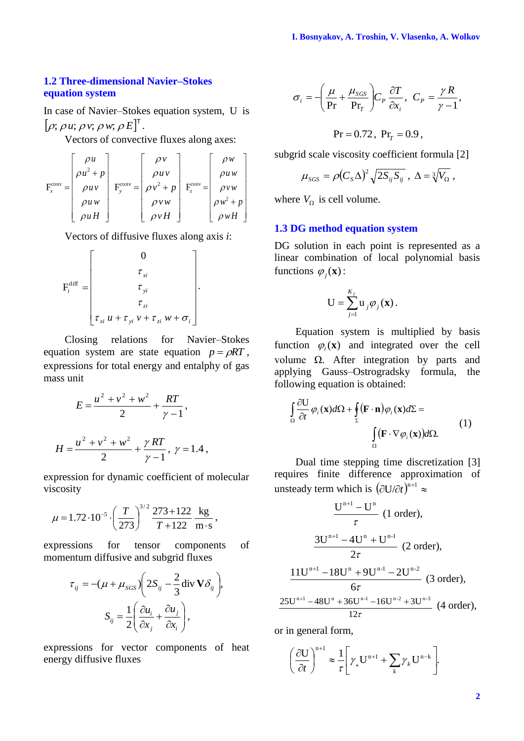### **1.2 Three-dimensional Navier–Stokes equation system**

In case of Navier–Stokes equation system, U is  $[\rho; \rho u; \rho v; \rho w; \rho E]^{T}$ .

Vectors of convective fluxes along axes:

$$
\mathbf{F}_{x}^{\text{conv}} = \begin{bmatrix} \rho u \\ \rho u^{2} + p \\ \rho u v \\ \rho u w \\ \rho u H \end{bmatrix} \mathbf{F}_{y}^{\text{conv}} = \begin{bmatrix} \rho v \\ \rho u v \\ \rho v^{2} + p \\ \rho v w \\ \rho v w \\ \rho v H \end{bmatrix} \mathbf{F}_{z}^{\text{conv}} = \begin{bmatrix} \rho w \\ \rho u w \\ \rho v w \\ \rho w^{2} + p \\ \rho w H \end{bmatrix}
$$

Vectors of diffusive fluxes along axis *i*:

$$
\mathbf{F}_{i}^{\text{diff}} = \begin{bmatrix} 0 \\ \tau_{xi} \\ \tau_{yi} \\ \tau_{zi} \\ \tau_{xi} \\ \tau_{xi} \, \mathcal{U} + \tau_{yi} \, \mathcal{V} + \tau_{zi} \, \mathcal{W} + \sigma_{i} \end{bmatrix}.
$$

Closing relations for Navier–Stokes equation system are state equation  $p = \rho RT$ , expressions for total energy and entalphy of gas mass unit

$$
E = \frac{u^2 + v^2 + w^2}{2} + \frac{RT}{\gamma - 1},
$$
  

$$
H = \frac{u^2 + v^2 + w^2}{2} + \frac{\gamma RT}{\gamma - 1}, \ \gamma = 1.4,
$$

expression for dynamic coefficient of molecular viscosity

$$
\mu = 1.72 \cdot 10^{-5} \cdot \left(\frac{T}{273}\right)^{3/2} \frac{273 + 122}{T + 122} \frac{\text{kg}}{\text{m} \cdot \text{s}},
$$

expressions for tensor components of momentum diffusive and subgrid fluxes

$$
\tau_{ij} = -(\mu + \mu_{SGS}) \left( 2S_{ij} - \frac{2}{3} \operatorname{div} \mathbf{V} \delta_{ij} \right),
$$

$$
S_{ij} = \frac{1}{2} \left( \frac{\partial u_i}{\partial x_j} + \frac{\partial u_j}{\partial x_i} \right),
$$

expressions for vector components of heat energy diffusive fluxes

$$
\sigma_i = -\left(\frac{\mu}{\text{Pr}} + \frac{\mu_{SGS}}{\text{Pr}_T}\right) C_P \frac{\partial T}{\partial x_i}, \quad C_P = \frac{\gamma R}{\gamma - 1},
$$

$$
\text{Pr} = 0.72, \text{ Pr}_T = 0.9,
$$

subgrid scale viscosity coefficient formula [2]

$$
\mu_{SGS} = \rho (C_S \Delta)^2 \sqrt{2S_{ij}S_{ij}} , \Delta = \sqrt[3]{V_{\Omega}} ,
$$

where  $V_{\Omega}$  is cell volume.

### **1.3 DG method equation system**

DG solution in each point is represented as a linear combination of local polynomial basis functions  $\varphi_j(\mathbf{x})$ :

$$
\mathbf{U} = \sum_{j=1}^{K_f} \mathbf{u}_j \boldsymbol{\varphi}_j(\mathbf{x}).
$$

Equation system is multiplied by basis function  $\varphi_i(\mathbf{x})$  and integrated over the cell volume  $Ω$ . After integration by parts and applying Gauss–Ostrogradsky formula, the following equation is obtained:

$$
\int_{\Omega} \frac{\partial U}{\partial t} \varphi_i(\mathbf{x}) d\Omega + \oint_{\Sigma} (\mathbf{F} \cdot \mathbf{n}) \varphi_i(\mathbf{x}) d\Sigma = \int_{\Omega} (\mathbf{F} \cdot \nabla \varphi_i(\mathbf{x})) d\Omega.
$$
 (1)

Dual time stepping time discretization [3] requires finite difference approximation of unsteady term which is  $(\partial U/\partial t)^{n+1} \approx$ 

$$
\frac{U^{n+1} - U^{n}}{\tau} \text{ (1 order)},
$$
\n
$$
\frac{3U^{n+1} - 4U^{n} + U^{n-1}}{2\tau} \text{ (2 order)},
$$
\n
$$
\frac{11U^{n+1} - 18U^{n} + 9U^{n-1} - 2U^{n-2}}{6\tau} \text{ (3 order)},
$$
\n
$$
\frac{25U^{n+1} - 48U^{n} + 36U^{n-1} - 16U^{n-2} + 3U^{n-3}}{12\tau} \text{ (4 order)},
$$

or in general form,

$$
\left(\frac{\partial \mathbf{U}}{\partial t}\right)^{n+1} \approx \frac{1}{\tau} \left[\gamma_* \mathbf{U}^{n+1} + \sum_k \gamma_k \mathbf{U}^{n-k}\right].
$$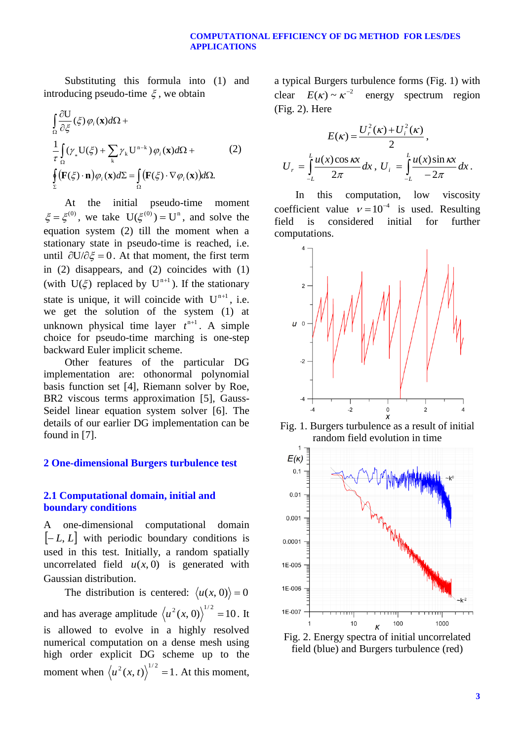#### **COMPUTATIONAL EFFICIENCY OF DG METHOD FOR LES/DES APPLICATIONS**

Substituting this formula into (1) and introducing pseudo-time  $\xi$  , we obtain

$$
\int_{\Omega} \frac{\partial U}{\partial \xi}(\xi) \varphi_i(\mathbf{x}) d\Omega +
$$
\n
$$
\frac{1}{\tau} \int_{\Omega} (\gamma_* U(\xi) + \sum_k \gamma_k U^{n-k}) \varphi_i(\mathbf{x}) d\Omega +
$$
\n
$$
\oint_{\Sigma} (\mathbf{F}(\xi) \cdot \mathbf{n}) \varphi_i(\mathbf{x}) d\Sigma = \int_{\Omega} (\mathbf{F}(\xi) \cdot \nabla \varphi_i(\mathbf{x})) d\Omega.
$$
\n(2)

At the initial pseudo-time moment  $\xi = \xi^{(0)}$ , we take  $U(\xi^{(0)}) = U^{n}$ , and solve the equation system (2) till the moment when a stationary state in pseudo-time is reached, i.e. until  $\partial U / \partial \xi = 0$ . At that moment, the first term in (2) disappears, and (2) coincides with (1) (with  $U(\xi)$  replaced by  $U^{n+1}$ ). If the stationary state is unique, it will coincide with  $U^{n+1}$ , i.e. we get the solution of the system (1) at unknown physical time layer  $t^{n+1}$ . A simple choice for pseudo-time marching is one-step backward Euler implicit scheme.

Other features of the particular DG implementation are: othonormal polynomial basis function set [4], Riemann solver by Roe, BR2 viscous terms approximation [5], Gauss-Seidel linear equation system solver [6]. The details of our earlier DG implementation can be found in [7].

### **2 One-dimensional Burgers turbulence test**

### **2.1 Computational domain, initial and boundary conditions**

A one-dimensional computational domain  $\left[-L, L\right]$  with periodic boundary conditions is used in this test. Initially, a random spatially uncorrelated field  $u(x, 0)$  is generated with Gaussian distribution.

The distribution is centered:  $\langle u(x, 0) \rangle = 0$ and has average amplitude  $\langle u^2(x, 0) \rangle^{1/2} = 10$ . It is allowed to evolve in a highly resolved numerical computation on a dense mesh using high order explicit DG scheme up to the moment when  $\langle u^2(x, t) \rangle^{1/2} = 1$ . At this moment, a typical Burgers turbulence forms (Fig. 1) with clear  $E(\kappa) \sim \kappa^{-2}$ energy spectrum region (Fig. 2). Here

$$
E(\kappa) = \frac{U_r^2(\kappa) + U_i^2(\kappa)}{2},
$$
  

$$
U_r = \int_{-L}^{L} \frac{u(x)\cos \kappa x}{2\pi} dx, \ U_i = \int_{-L}^{L} \frac{u(x)\sin \kappa x}{-2\pi} dx.
$$

In this computation, low viscosity coefficient value  $v = 10^{-4}$  is used. Resulting field is considered initial for further computations.



Fig. 1. Burgers turbulence as a result of initial random field evolution in time



field (blue) and Burgers turbulence (red)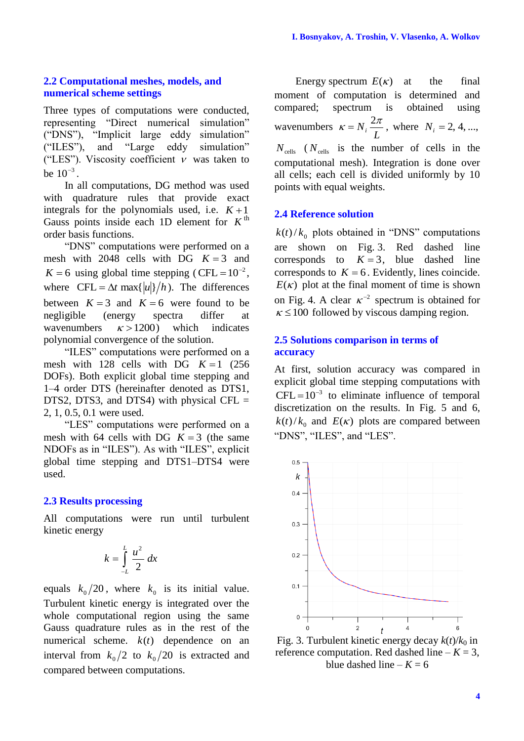### **2.2 Computational meshes, models, and numerical scheme settings**

Three types of computations were conducted, representing "Direct numerical simulation" ("DNS"), "Implicit large eddy simulation" ("ILES"), and "Large eddy simulation" ("LES"). Viscosity coefficient  $\nu$  was taken to be  $10^{-3}$ .

In all computations, DG method was used with quadrature rules that provide exact integrals for the polynomials used, i.e.  $K+1$ Gauss points inside each 1D element for  $K^{\text{th}}$ order basis functions.

"DNS" computations were performed on a mesh with  $2048$  cells with DG  $K = 3$  and  $K = 6$  using global time stepping (CFL =  $10^{-2}$ , where  $CFL = \Delta t \max\{|u|\}/h$ ). The differences between  $K = 3$  and  $K = 6$  were found to be negligible (energy spectra differ at wavenumbers  $\kappa > 1200$ ) ) which indicates polynomial convergence of the solution.

"ILES" computations were performed on a mesh with  $128$  cells with DG  $K = 1$  (256) DOFs). Both explicit global time stepping and 1–4 order DTS (hereinafter denoted as DTS1, DTS2, DTS3, and DTS4) with physical CFL  $=$ 2, 1, 0.5, 0.1 were used.

"LES" computations were performed on a mesh with 64 cells with DG  $K = 3$  (the same NDOFs as in "ILES"). As with "ILES", explicit global time stepping and DTS1–DTS4 were used.

#### **2.3 Results processing**

All computations were run until turbulent kinetic energy

$$
k=\int\limits_{-L}^{L}\frac{u^2}{2}\,dx
$$

equals  $k_0/20$ , where  $k_0$  is its initial value. Turbulent kinetic energy is integrated over the whole computational region using the same Gauss quadrature rules as in the rest of the numerical scheme.  $k(t)$  dependence on an interval from  $k_0/2$  to  $k_0/20$  is extracted and compared between computations.

Energy spectrum  $E(\kappa)$ the final moment of computation is determined and compared; spectrum is obtained using wavenumbers  $K = N_i \frac{2\pi}{L}$ , where  $N_i = 2, 4, ...$  $N_{\text{cells}}$  ( $N_{\text{cells}}$  is the number of cells in the computational mesh). Integration is done over all cells; each cell is divided uniformly by 10 points with equal weights.

### **2.4 Reference solution**

 $k(t)/k_0$  plots obtained in "DNS" computations are shown on Fig. 3. Red dashed line corresponds to  $K = 3$ , blue dashed line corresponds to  $K = 6$ . Evidently, lines coincide.  $E(\kappa)$  plot at the final moment of time is shown on Fig. 4. A clear  $\kappa^{-2}$  spectrum is obtained for  $\kappa \leq 100$  followed by viscous damping region.

#### **2.5 Solutions comparison in terms of accuracy**

At first, solution accuracy was compared in explicit global time stepping computations with  $CFL = 10^{-3}$  to eliminate influence of temporal discretization on the results. In Fig. 5 and 6,  $k(t)/k_0$  and  $E(\kappa)$  plots are compared between "DNS", "ILES", and "LES".



Fig. 3. Turbulent kinetic energy decay  $k(t)/k_0$  in reference computation. Red dashed line  $-K = 3$ , blue dashed line  $-K = 6$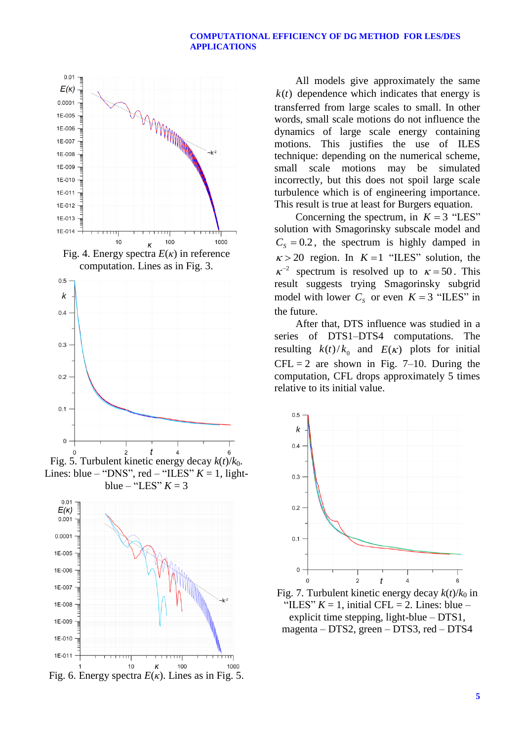#### **COMPUTATIONAL EFFICIENCY OF DG METHOD FOR LES/DES APPLICATIONS**







Lines: blue – "DNS", red – "ILES"  $K = 1$ , lightblue – "LES"  $K = 3$ 



All models give approximately the same  $k(t)$  dependence which indicates that energy is transferred from large scales to small. In other words, small scale motions do not influence the dynamics of large scale energy containing motions. This justifies the use of ILES technique: depending on the numerical scheme, small scale motions may be simulated incorrectly, but this does not spoil large scale turbulence which is of engineering importance. This result is true at least for Burgers equation.

Concerning the spectrum, in  $K = 3$  "LES" solution with Smagorinsky subscale model and  $C_s = 0.2$ , the spectrum is highly damped in  $\kappa > 20$  region. In  $K = 1$  "ILES" solution, the  $\kappa^{-2}$  spectrum is resolved up to  $\kappa = 50$ . This result suggests trying Smagorinsky subgrid model with lower  $C_s$  or even  $K = 3$  "ILES" in the future.

After that, DTS influence was studied in a series of DTS1–DTS4 computations. The resulting  $k(t)/k_0$  and  $E(\kappa)$  plots for initial  $CFL = 2$  are shown in Fig. 7–10. During the computation, CFL drops approximately 5 times relative to its initial value.



Fig. 7. Turbulent kinetic energy decay  $k(t)/k_0$  in "ILES"  $K = 1$ , initial CFL = 2. Lines: blue – explicit time stepping, light-blue – DTS1, magenta – DTS2, green – DTS3, red – DTS4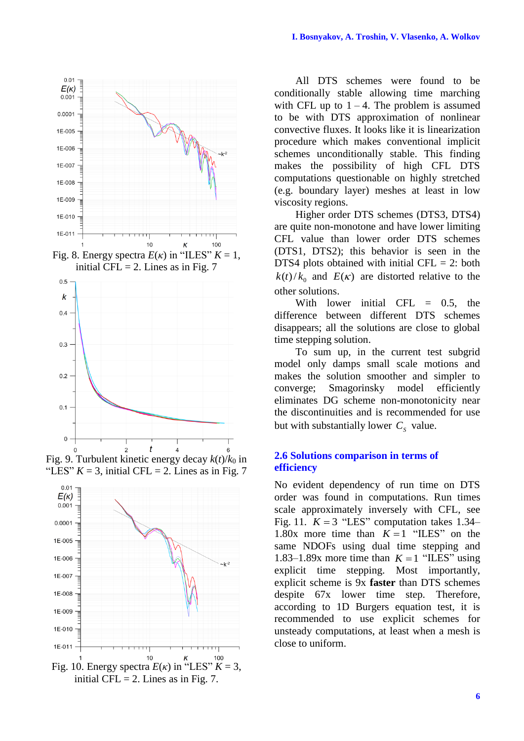

Fig. 9. Turbulent kinetic energy decay  $k(t)/k_0$  in "LES"  $K = 3$ , initial CFL = 2. Lines as in Fig. 7"



All DTS schemes were found to be conditionally stable allowing time marching with CFL up to  $1 - 4$ . The problem is assumed to be with DTS approximation of nonlinear convective fluxes. It looks like it is linearization procedure which makes conventional implicit schemes unconditionally stable. This finding makes the possibility of high CFL DTS computations questionable on highly stretched (e.g. boundary layer) meshes at least in low viscosity regions.

Higher order DTS schemes (DTS3, DTS4) are quite non-monotone and have lower limiting CFL value than lower order DTS schemes (DTS1, DTS2); this behavior is seen in the DTS4 plots obtained with initial CFL  $= 2$ : both  $k(t)/k_0$  and  $E(\kappa)$  are distorted relative to the other solutions.

With lower initial CFL  $=$  0.5, the difference between different DTS schemes disappears; all the solutions are close to global time stepping solution.

To sum up, in the current test subgrid model only damps small scale motions and makes the solution smoother and simpler to converge; Smagorinsky model efficiently eliminates DG scheme non-monotonicity near the discontinuities and is recommended for use but with substantially lower  $C_s$  value.

#### **2.6 Solutions comparison in terms of efficiency**

No evident dependency of run time on DTS order was found in computations. Run times scale approximately inversely with CFL, see Fig. 11.  $K = 3$  "LES" computation takes 1.34– 1.80x more time than  $K = 1$  "ILES" on the same NDOFs using dual time stepping and 1.83–1.89x more time than  $K = 1$  "ILES" using explicit time stepping. Most importantly, explicit scheme is 9x **faster** than DTS schemes despite 67x lower time step. Therefore, according to 1D Burgers equation test, it is recommended to use explicit schemes for unsteady computations, at least when a mesh is close to uniform.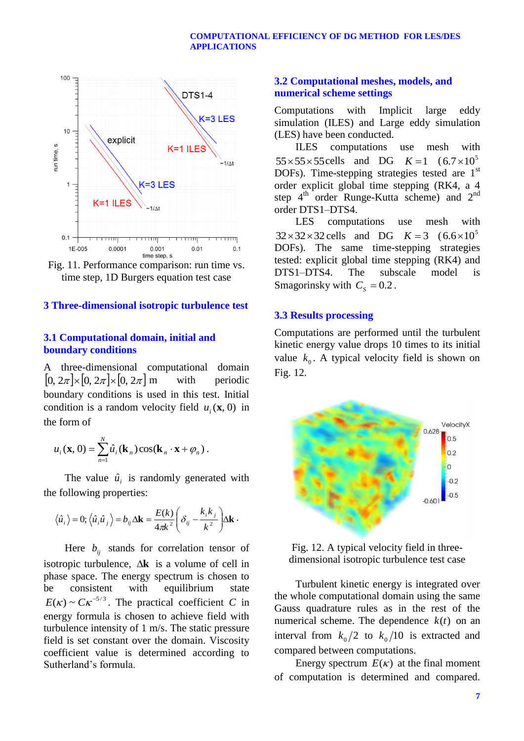

Fig. 11. Performance comparison: run time vs. time step, 1D Burgers equation test case

### **3 Three-dimensional isotropic turbulence test**

### **3.1 Computational domain, initial and boundary conditions**

A three-dimensional computational domain  $[0, 2\pi] \times [0, 2\pi] \times [0, 2\pi]$  m with periodic boundary conditions is used in this test. Initial condition is a random velocity field  $u_i(\mathbf{x}, 0)$  in the form of

$$
u_i(\mathbf{x},0) = \sum_{n=1}^N \hat{u}_i(\mathbf{k}_n) \cos(\mathbf{k}_n \cdot \mathbf{x} + \varphi_n).
$$

The value  $\hat{u}_i$  is randomly generated with the following properties:

$$
\langle \hat{u}_i \rangle = 0; \langle \hat{u}_i \hat{u}_j \rangle = b_{ij} \Delta \mathbf{k} = \frac{E(k)}{4\pi k^2} \left( \delta_{ij} - \frac{k_i k_j}{k^2} \right) \Delta \mathbf{k}.
$$

Here  $b_{ij}$  stands for correlation tensor of isotropic turbulence,  $\Delta$ **k** is a volume of cell in phase space. The energy spectrum is chosen to be consistent with equilibrium state  $E(\kappa) \sim C \kappa^{-5/3}$ . The practical coefficient *C* in energy formula is chosen to achieve field with turbulence intensity of 1 m/s. The static pressure field is set constant over the domain. Viscosity coefficient value is determined according to Sutherland's formula.

## **3.2 Computational meshes, models, and numerical scheme settings**

Computations with Implicit large eddy simulation (ILES) and Large eddy simulation (LES) have been conducted.

ILES computations use mesh with  $55 \times 55 \times 55$  cells and DG  $K=1$   $(6.7 \times 10^5$ DOFs). Time-stepping strategies tested are 1<sup>st</sup> order explicit global time stepping (RK4, a 4 step  $4^{\text{th}}$  order Runge-Kutta scheme) and  $2^{\text{nd}}$ order DTS1–DTS4.

LES computations use mesh with  $32 \times 32 \times 32$  cells and DG  $K = 3$   $(6.6 \times 10^5$ DOFs). The same time-stepping strategies tested: explicit global time stepping (RK4) and DTS1–DTS4. The subscale model is Smagorinsky with  $C_s = 0.2$ .

#### **3.3 Results processing**

Computations are performed until the turbulent kinetic energy value drops 10 times to its initial value  $k_0$ . A typical velocity field is shown on Fig. 12.



Fig. 12. A typical velocity field in threedimensional isotropic turbulence test case

Turbulent kinetic energy is integrated over the whole computational domain using the same Gauss quadrature rules as in the rest of the numerical scheme. The dependence  $k(t)$  on an interval from  $k_0/2$  to  $k_0/10$  is extracted and compared between computations.

Energy spectrum  $E(\kappa)$  at the final moment of computation is determined and compared.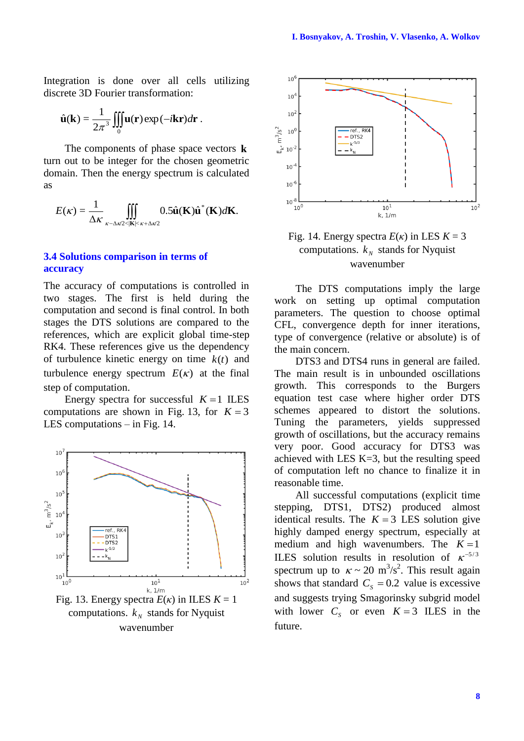Integration is done over all cells utilizing discrete 3D Fourier transformation:

$$
\hat{\mathbf{u}}(\mathbf{k}) = \frac{1}{2\pi^3} \iiint_0^{\infty} \mathbf{u}(\mathbf{r}) \exp(-i\mathbf{k}\mathbf{r}) d\mathbf{r}.
$$

The components of phase space vectors **k** turn out to be integer for the chosen geometric domain. Then the energy spectrum is calculated as

$$
E(\kappa) = \frac{1}{\Delta \kappa} \iiint\limits_{\kappa - \Delta \kappa/2 < |\mathbf{K}| < \kappa + \Delta \kappa/2} 0.5 \hat{\mathbf{u}}(\mathbf{K}) \hat{\mathbf{u}}^*(\mathbf{K}) d\mathbf{K}.
$$

### **3.4 Solutions comparison in terms of accuracy**

The accuracy of computations is controlled in two stages. The first is held during the computation and second is final control. In both stages the DTS solutions are compared to the references, which are explicit global time-step RK4. These references give us the dependency of turbulence kinetic energy on time  $k(t)$  and turbulence energy spectrum  $E(\kappa)$  at the final step of computation.

Energy spectra for successful  $K = 1$  ILES computations are shown in Fig. 13, for  $K = 3$ LES computations – in Fig. 14.





Fig. 14. Energy spectra  $E(\kappa)$  in LES  $K = 3$ computations.  $k_N$  stands for Nyquist wavenumber

The DTS computations imply the large work on setting up optimal computation parameters. The question to choose optimal CFL, convergence depth for inner iterations, type of convergence (relative or absolute) is of the main concern.

DTS3 and DTS4 runs in general are failed. The main result is in unbounded oscillations growth. This corresponds to the Burgers equation test case where higher order DTS schemes appeared to distort the solutions. Tuning the parameters, yields suppressed growth of oscillations, but the accuracy remains very poor. Good accuracy for DTS3 was achieved with LES K=3, but the resulting speed of computation left no chance to finalize it in reasonable time.

All successful computations (explicit time stepping, DTS1, DTS2) produced almost identical results. The  $K = 3$  LES solution give highly damped energy spectrum, especially at medium and high wavenumbers. The  $K = 1$ ILES solution results in resolution of  $\kappa^{-5/3}$ spectrum up to  $\kappa \sim 20 \text{ m}^3/\text{s}^2$ . This result again shows that standard  $C_s = 0.2$  value is excessive and suggests trying Smagorinsky subgrid model with lower  $C_s$  or even  $K = 3$  ILES in the future.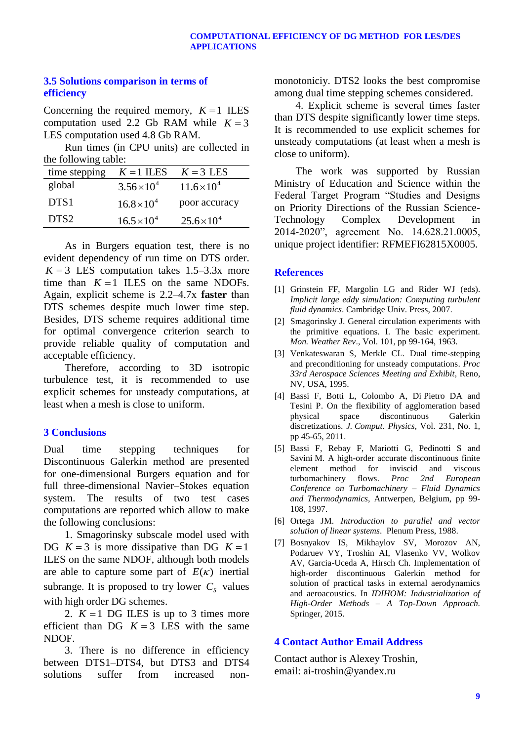## **3.5 Solutions comparison in terms of efficiency**

Concerning the required memory,  $K = 1$  ILES computation used 2.2 Gb RAM while  $K = 3$ LES computation used 4.8 Gb RAM.

Run times (in CPU units) are collected in the following table:

| time stepping    | $K = 1$ ILES         | $K = 3$ LES          |
|------------------|----------------------|----------------------|
| global           | $3.56 \times 10^{4}$ | $11.6 \times 10^{4}$ |
| DTS <sub>1</sub> | $16.8\times10^{4}$   | poor accuracy        |
| DTS <sub>2</sub> | $16.5 \times 10^{4}$ | $25.6 \times 10^{4}$ |

As in Burgers equation test, there is no evident dependency of run time on DTS order.  $K = 3$  LES computation takes 1.5–3.3x more time than  $K = 1$  ILES on the same NDOFs. Again, explicit scheme is 2.2–4.7x **faster** than DTS schemes despite much lower time step. Besides, DTS scheme requires additional time for optimal convergence criterion search to provide reliable quality of computation and acceptable efficiency.

Therefore, according to 3D isotropic turbulence test, it is recommended to use explicit schemes for unsteady computations, at least when a mesh is close to uniform.

### **3 Conclusions**

Dual time stepping techniques for Discontinuous Galerkin method are presented for one-dimensional Burgers equation and for full three-dimensional Navier–Stokes equation system. The results of two test cases computations are reported which allow to make the following conclusions:

1. Smagorinsky subscale model used with DG  $K = 3$  is more dissipative than DG  $K = 1$ ILES on the same NDOF, although both models are able to capture some part of  $E(\kappa)$  inertial subrange. It is proposed to try lower  $C_s$  values with high order DG schemes.

2.  $K = 1$  DG ILES is up to 3 times more efficient than DG  $K = 3$  LES with the same NDOF.

3. There is no difference in efficiency between DTS1–DTS4, but DTS3 and DTS4 solutions suffer from increased nonmonotoniciy. DTS2 looks the best compromise among dual time stepping schemes considered.

4. Explicit scheme is several times faster than DTS despite significantly lower time steps. It is recommended to use explicit schemes for unsteady computations (at least when a mesh is close to uniform).

The work was supported by Russian Ministry of Education and Science within the Federal Target Program "Studies and Designs on Priority Directions of the Russian Science-Technology Complex Development in 2014-2020", agreement No. 14.628.21.0005, unique project identifier: RFMEFI62815X0005.

## **References**

- [1] Grinstein FF, Margolin LG and Rider WJ (eds). *Implicit large eddy simulation: Computing turbulent fluid dynamics*. Cambridge Univ. Press, 2007.
- [2] Smagorinsky J. General circulation experiments with the primitive equations. I. The basic experiment. *Mon. Weather Rev*., Vol. 101, pp 99-164, 1963.
- [3] Venkateswaran S, Merkle CL. Dual time-stepping and preconditioning for unsteady computations. *Proc 33rd Aerospace Sciences Meeting and Exhibit*, Reno, NV, USA, 1995.
- [4] Bassi F, Botti L, Colombo A, Di Pietro DA and Tesini P. On the flexibility of agglomeration based physical space discontinuous Galerkin discretizations. *J. Comput. Physics*, Vol. 231, No. 1, pp 45-65, 2011.
- [5] Bassi F, Rebay F, Mariotti G, Pedinotti S and Savini M. A high-order accurate discontinuous finite element method for inviscid and viscous turbomachinery flows. *Proc 2nd European Conference on Turbomachinery – Fluid Dynamics and Thermodynamics*, Antwerpen, Belgium, pp 99- 108, 1997.
- [6] Ortega JM. *Introduction to parallel and vector solution of linear systems*. Plenum Press, 1988.
- [7] Bosnyakov IS, Mikhaylov SV, Morozov AN, Podaruev VY, Troshin AI, Vlasenko VV, Wolkov AV, Garcia-Uceda A, Hirsch Ch. Implementation of high-order discontinuous Galerkin method for solution of practical tasks in external aerodynamics and aeroacoustics. In *IDIHOM: Industrialization of High-Order Methods – A Top-Down Approach.* Springer, 2015.

# **4 Contact Author Email Address**

Contact author is Alexey Troshin, email: ai-troshin@yandex.ru